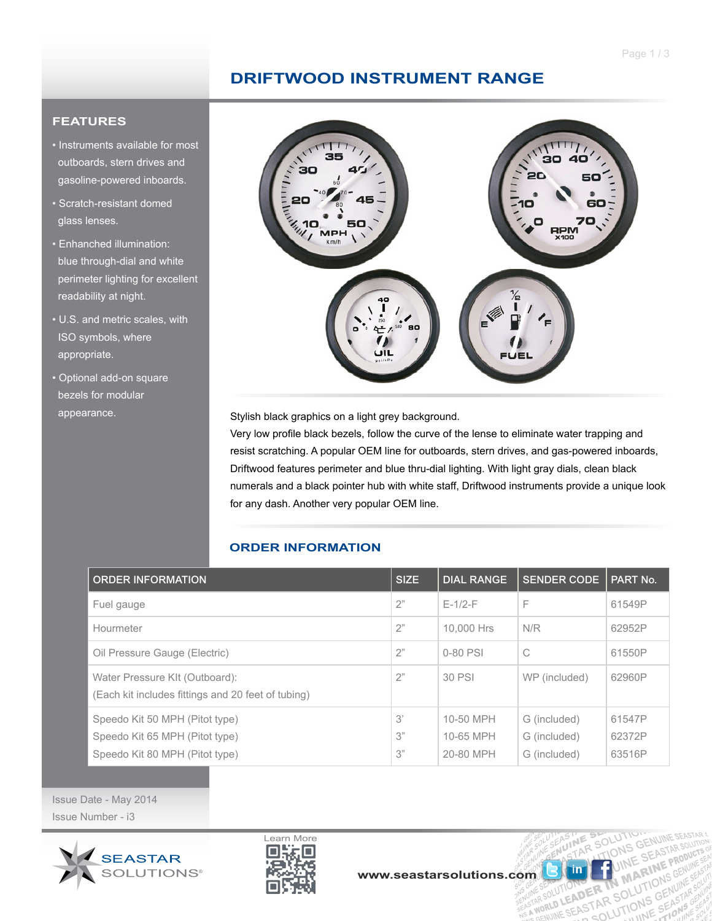### **DRIFTWOOD INSTRUMENT RANGE**

### **FEATURES**

- Instruments available for most outboards, stern drives and gasoline-powered inboards.
- Scratch-resistant domed glass lenses.
- Enhanched illumination: blue through-dial and white perimeter lighting for excellent readability at night.
- U.S. and metric scales, with ISO symbols, where appropriate.
- Optional add-on square bezels for modular



appearance. Stylish black graphics on a light grey background.

Very low profile black bezels, follow the curve of the lense to eliminate water trapping and resist scratching. A popular OEM line for outboards, stern drives, and gas-powered inboards, Driftwood features perimeter and blue thru-dial lighting. With light gray dials, clean black numerals and a black pointer hub with white staff, Driftwood instruments provide a unique look for any dash. Another very popular OEM line.

### **ORDER INFORMATION**

| <b>ORDER INFORMATION</b>                                                             | <b>SIZE</b> | <b>DIAL RANGE</b>      | <b>SENDER CODE</b>           | PART No.         |
|--------------------------------------------------------------------------------------|-------------|------------------------|------------------------------|------------------|
| Fuel gauge                                                                           | 2"          | $F-1/2-F$              | F                            | 61549P           |
| Hourmeter                                                                            | 2"          | 10,000 Hrs             | N/R                          | 62952P           |
| Oil Pressure Gauge (Electric)                                                        | 2"          | 0-80 PSI               | C                            | 61550P           |
| Water Pressure KIt (Outboard):<br>(Each kit includes fittings and 20 feet of tubing) | 2"          | 30 PSI                 | WP (included)                | 62960P           |
| Speedo Kit 50 MPH (Pitot type)<br>Speedo Kit 65 MPH (Pitot type)                     | 3'<br>3"    | 10-50 MPH<br>10-65 MPH | G (included)<br>G (included) | 61547P<br>62372P |
| Speedo Kit 80 MPH (Pitot type)                                                       | 3"          | 20-80 MPH              | G (included)                 | 63516P           |

Issue Date - May 2014 Issue Number - i3





LE SOLU

UTION BER THE MANUTION

GENUI

N MANTIONS GENUINE

WA<sub>L</sub>

NUINE

in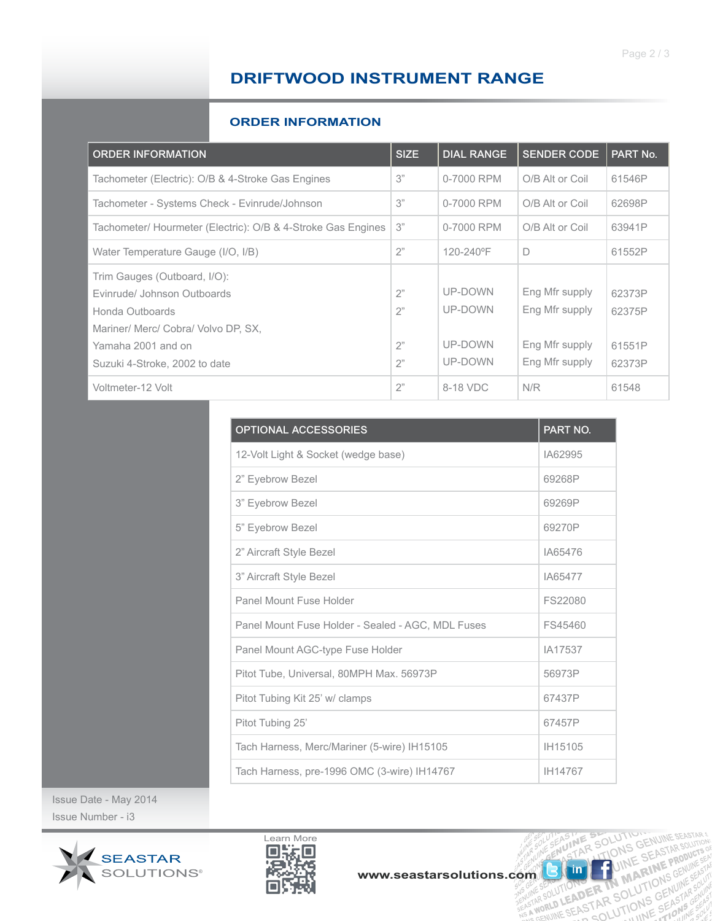# **DRIFTWOOD INSTRUMENT RANGE**

#### **ORDER INFORMATION**

| <b>ORDER INFORMATION</b>                                     | <b>SIZE</b> | <b>DIAL RANGE</b> | <b>SENDER CODE</b> | PART No. |
|--------------------------------------------------------------|-------------|-------------------|--------------------|----------|
| Tachometer (Electric): O/B & 4-Stroke Gas Engines            | 3"          | 0-7000 RPM        | O/B Alt or Coil    | 61546P   |
| Tachometer - Systems Check - Evinrude/Johnson                | 3"          | 0-7000 RPM        | O/B Alt or Coil    | 62698P   |
| Tachometer/ Hourmeter (Electric): O/B & 4-Stroke Gas Engines | 3"          | 0-7000 RPM        | O/B Alt or Coil    | 63941P   |
| Water Temperature Gauge (I/O, I/B)                           | 2"          | 120-240°F         | D                  | 61552P   |
| Trim Gauges (Outboard, I/O):                                 |             |                   |                    |          |
| Evinrude/ Johnson Outboards                                  | 2"          | UP-DOWN           | Eng Mfr supply     | 62373P   |
| Honda Outboards                                              | 2"          | UP-DOWN           | Eng Mfr supply     | 62375P   |
| Mariner/ Merc/ Cobra/ Volvo DP, SX,                          |             |                   |                    |          |
| Yamaha 2001 and on                                           | 2"          | UP-DOWN           | Eng Mfr supply     | 61551P   |
| Suzuki 4-Stroke, 2002 to date                                | 2"          | UP-DOWN           | Eng Mfr supply     | 62373P   |
| Voltmeter-12 Volt                                            | 2"          | 8-18 VDC          | N/R                | 61548    |

| <b>OPTIONAL ACCESSORIES</b>                       | <b>PART NO.</b> |
|---------------------------------------------------|-----------------|
| 12-Volt Light & Socket (wedge base)               | IA62995         |
| 2" Eyebrow Bezel                                  | 69268P          |
| 3" Eyebrow Bezel                                  | 69269P          |
| 5" Eyebrow Bezel                                  | 69270P          |
| 2" Aircraft Style Bezel                           | IA65476         |
| 3" Aircraft Style Bezel                           | IA65477         |
| Panel Mount Fuse Holder                           | FS22080         |
| Panel Mount Fuse Holder - Sealed - AGC, MDL Fuses | FS45460         |
| Panel Mount AGC-type Fuse Holder                  | IA17537         |
| Pitot Tube, Universal, 80MPH Max. 56973P          | 56973P          |
| Pitot Tubing Kit 25' w/ clamps                    | 67437P          |
| Pitot Tubing 25'                                  | 67457P          |
| Tach Harness, Merc/Mariner (5-wire) IH15105       | IH15105         |
| Tach Harness, pre-1996 OMC (3-wire) IH14767       | IH14767         |

Issue Date - May 2014 Issue Number - i3